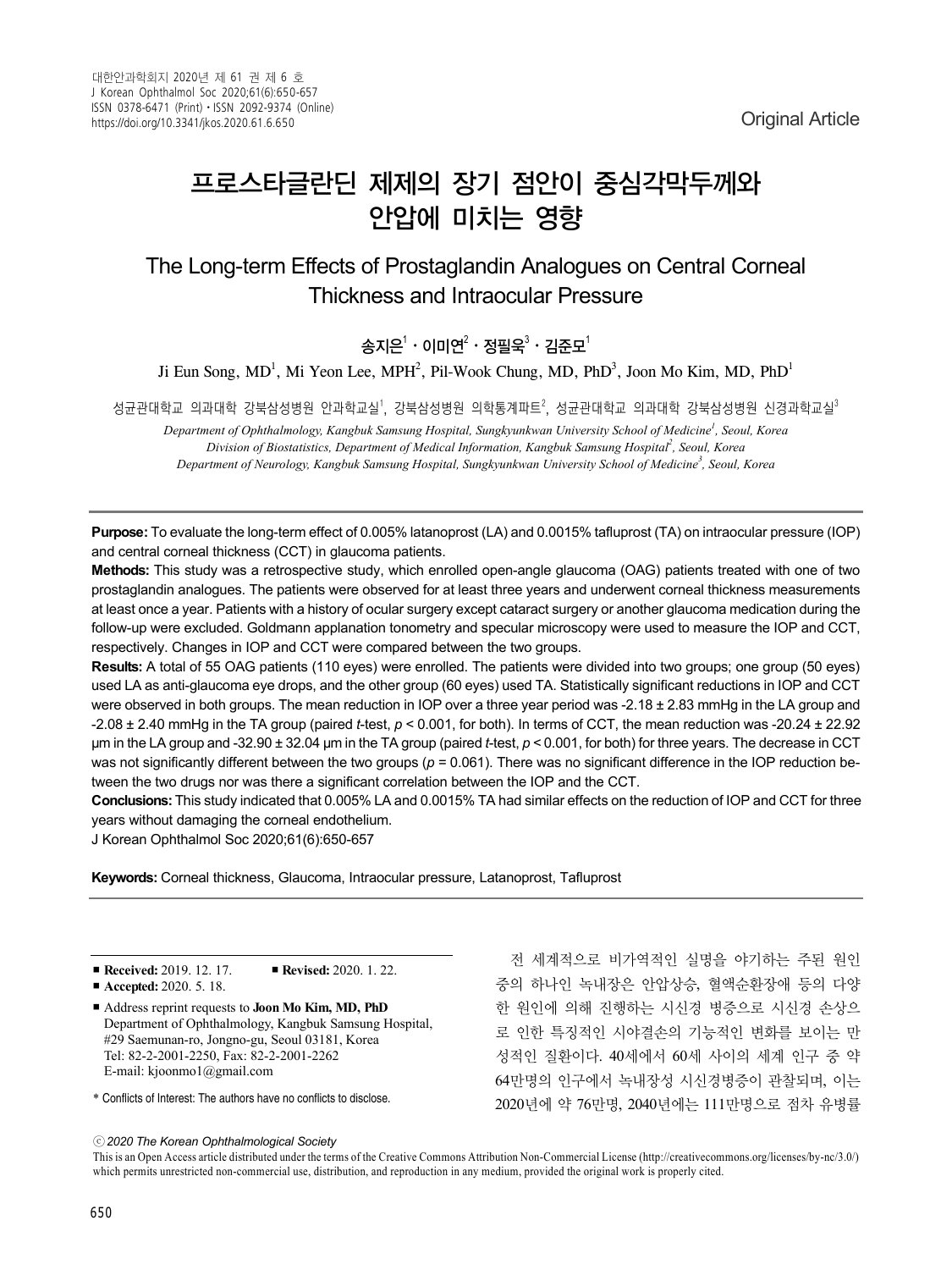# 프로스타글란딘 제제의 장기 점안이 중심각막두께와 안압에 미치는 영향

The Long-term Effects of Prostaglandin Analogues on Central Corneal Thickness and Intraocular Pressure

송지은 $^1 \cdot$  이미연 $^2 \cdot$  정필욱 $^3 \cdot$  김준모 $^1$ 

Ji Eun Song, MD<sup>1</sup>, Mi Yeon Lee, MPH<sup>2</sup>, Pil-Wook Chung, MD, PhD<sup>3</sup>, Joon Mo Kim, MD, PhD<sup>1</sup>

성균관대학교 의과대학 강북삼성병원 안과학교실<sup>1</sup>, 강북삼성병원 의학통계파트<sup>2</sup>, 성균관대학교 의과대학 강북삼성병원 신경과학교실<sup>3</sup>

*Department of Ophthalmology, Kangbuk Samsung Hospital, Sungkyunkwan University School of Medicine1 , Seoul, Korea Division of Biostatistics, Department of Medical Information, Kangbuk Samsung Hospital2 , Seoul, Korea Department of Neurology, Kangbuk Samsung Hospital, Sungkyunkwan University School of Medicine3 , Seoul, Korea*

**Purpose:** To evaluate the long-term effect of 0.005% latanoprost (LA) and 0.0015% tafluprost (TA) on intraocular pressure (IOP) and central corneal thickness (CCT) in glaucoma patients.

**Methods:** This study was a retrospective study, which enrolled open-angle glaucoma (OAG) patients treated with one of two prostaglandin analogues. The patients were observed for at least three years and underwent corneal thickness measurements at least once a year. Patients with a history of ocular surgery except cataract surgery or another glaucoma medication during the follow-up were excluded. Goldmann applanation tonometry and specular microscopy were used to measure the IOP and CCT, respectively. Changes in IOP and CCT were compared between the two groups.

**Results:** A total of 55 OAG patients (110 eyes) were enrolled. The patients were divided into two groups; one group (50 eyes) used LA as anti-glaucoma eye drops, and the other group (60 eyes) used TA. Statistically significant reductions in IOP and CCT were observed in both groups. The mean reduction in IOP over a three year period was  $-2.18 \pm 2.83$  mmHg in the LA group and -2.08 ± 2.40 mmHg in the TA group (paired *t*-test, *p* < 0.001, for both). In terms of CCT, the mean reduction was -20.24 ± 22.92 μm in the LA group and -32.90 ± 32.04 μm in the TA group (paired *t*-test, *p* < 0.001, for both) for three years. The decrease in CCT was not significantly different between the two groups  $(p = 0.061)$ . There was no significant difference in the IOP reduction between the two drugs nor was there a significant correlation between the IOP and the CCT.

**Conclusions:** This study indicated that 0.005% LA and 0.0015% TA had similar effects on the reduction of IOP and CCT for three years without damaging the corneal endothelium.

J Korean Ophthalmol Soc 2020;61(6):650-657

**Keywords:** Corneal thickness, Glaucoma, Intraocular pressure, Latanoprost, Tafluprost

■ **Received:** 2019. 12. 17 ■ **Revised:** 2020. 1. 22.

■ Address reprint requests to **Joon Mo Kim, MD, PhD** Department of Ophthalmology, Kangbuk Samsung Hospital, #29 Saemunan-ro, Jongno-gu, Seoul 03181, Korea Tel: 82-2-2001-2250, Fax: 82-2-2001-2262 E-mail: kjoonmo1@gmail.com

\* Conflicts of Interest: The authors have no conflicts to disclose.

전 세계적으로 비가역적인 실명을 야기하는 주된 원인 중의 하나인 녹내장은 안압상승, 혈액순환장애 등의 다양 한 원인에 의해 진행하는 시신경 병증으로 시신경 손상으 로 인한 특징적인 시야결손의 기능적인 변화를 보이는 만 성적인 질환이다. 40세에서 60세 사이의 세계 인구 중 약 64만명의 인구에서 녹내장성 시신경병증이 관찰되며, 이는 2020년에 약 76만명, 2040년에는 111만명으로 점차 유병률

ⓒ*2020 The Korean Ophthalmological Society*

This is an Open Access article distributed under the terms of the Creative Commons Attribution Non-Commercial License (http://creativecommons.org/licenses/by-nc/3.0/) which permits unrestricted non-commercial use, distribution, and reproduction in any medium, provided the original work is properly cited.

<sup>■</sup> **Accepted:** 2020. 5. 18.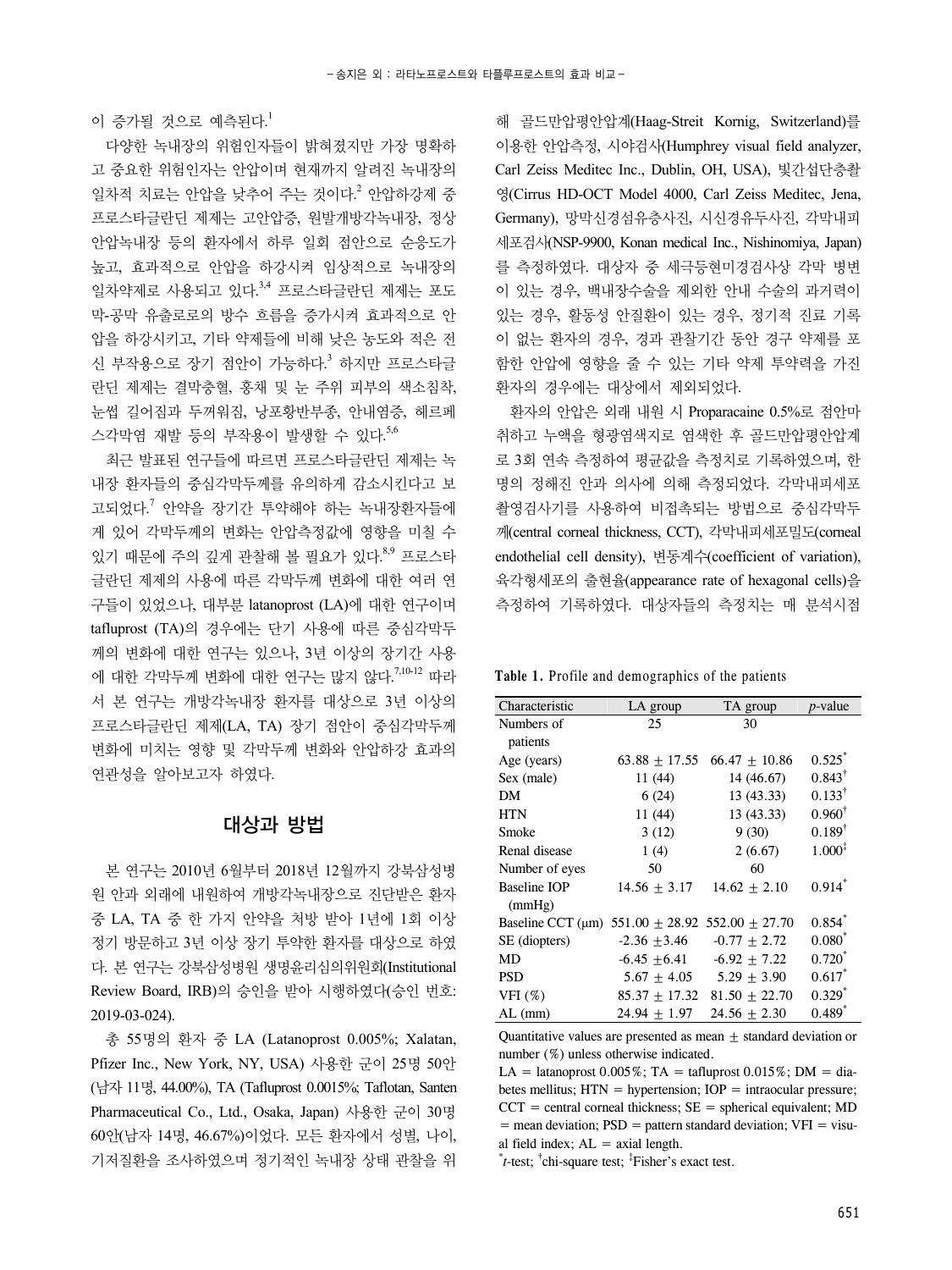이 증가될 것으로 예측된다. 1

다양한 녹내장의 위험인자들이 밝혀졌지만 가장 명확하 고 중요한 위험인자는 안압이며 현재까지 알려진 녹내장의 일차적 치료는 안압을 낮추어 주는 것이다. <sup>2</sup> 안압하강제 중 프로스타글란딘 제제는 고안압증, 원발개방각녹내장, 정상 안압녹내장 등의 환자에서 하루 일회 점안으로 순응도가 높고, 효과적으로 안압을 하강시켜 임상적으로 녹내장의 일차약제로 사용되고 있다.<sup>3,4</sup> 프로스타글란딘 제제는 포도 막-공막 유출로로의 방수 흐름을 증가시켜 효과적으로 안 압을 하강시키고, 기타 약제들에 비해 낮은 농도와 적은 전 신 부작용으로 장기 점안이 가능하다.<sup>3</sup> 하지만 프로스타글 란딘 제제는 결막충혈, 홍채 및 눈 주위 피부의 색소침착, 눈썹 길어짐과 두꺼워짐, 낭포황반부종, 안내염증, 헤르페 스각막염 재발 등의 부작용이 발생할 수 있다. 5,6

최근 발표된 연구들에 따르면 프로스타글란딘 제제는 녹 내장 환자들의 중심각막두께를 유의하게 감소시킨다고 보 고되었다. <sup>7</sup> 안약을 장기간 투약해야 하는 녹내장환자들에 게 있어 각막두께의 변화는 안압측정값에 영향을 미칠 수 있기 때문에 주의 깊게 관찰해 볼 필요가 있다.<sup>8,9</sup> 프로스타 글란딘 제제의 사용에 따른 각막두께 변화에 대한 여러 연 구들이 있었으나, 대부분 latanoprost (LA)에 대한 연구이며 tafluprost (TA)의 경우에는 단기 사용에 따른 중심각막두 께의 변화에 대한 연구는 있으나, 3년 이상의 장기간 사용 에 대한 각막두께 변화에 대한 연구는 많지 않다.<sup>7,10-12</sup> 따라 서 본 연구는 개방각녹내장 환자를 대상으로 3년 이상의 프로스타글란딘 제제(LA, TA) 장기 점안이 중심각막두께 변화에 미치는 영향 및 각막두께 변화와 안압하강 효과의 연관성을 알아보고자 하였다.

### 대상과 방법

본 연구는 2010년 6월부터 2018년 12월까지 강북삼성병 원 안과 외래에 내원하여 개방각녹내장으로 진단받은 환자 중 LA, TA 중 한 가지 안약을 처방 받아 1년에 1회 이상 정기 방문하고 3년 이상 장기 투약한 환자를 대상으로 하였 다. 본 연구는 강북삼성병원 생명윤리심의위원회(Institutional Review Board, IRB)의 승인을 받아 시행하였다(승인 번호: 2019-03-024).

총 55명의 환자 중 LA (Latanoprost 0.005%; Xalatan, Pfizer Inc., New York, NY, USA) 사용한 군이 25명 50안 (남자 11명, 44.00%), TA (Tafluprost 0.0015%; Taflotan, Santen Pharmaceutical Co., Ltd., Osaka, Japan) 사용한 군이 30명 60안(남자 14명, 46.67%)이었다. 모든 환자에서 성별, 나이, 기저질환을 조사하였으며 정기적인 녹내장 상태 관찰을 위

해 골드만압평안압계(Haag-Streit Kornig, Switzerland)를 이용한 안압측정, 시야검사(Humphrey visual field analyzer, Carl Zeiss Meditec Inc., Dublin, OH, USA), 빛간섭단층촬 영(Cirrus HD-OCT Model 4000, Carl Zeiss Meditec, Jena, Germany), 망막신경섬유층사진, 시신경유두사진, 각막내피 세포검사(NSP-9900, Konan medical Inc., Nishinomiya, Japan) 를 측정하였다. 대상자 중 세극등현미경검사상 각막 병변 이 있는 경우, 백내장수술을 제외한 안내 수술의 과거력이 있는 경우, 활동성 안질환이 있는 경우, 정기적 진료 기록 이 없는 환자의 경우, 경과 관찰기간 동안 경구 약제를 포 함한 안압에 영향을 줄 수 있는 기타 약제 투약력을 가진 환자의 경우에는 대상에서 제외되었다.

환자의 안압은 외래 내원 시 Proparacaine 0.5%로 점안마 취하고 누액을 형광염색지로 염색한 후 골드만압평안압계 로 3회 연속 측정하여 평균값을 측정치로 기록하였으며, 한 명의 정해진 안과 의사에 의해 측정되었다. 각막내피세포 촬영검사기를 사용하여 비접촉되는 방법으로 중심각막두 께(central corneal thickness, CCT), 각막내피세포밀도(corneal endothelial cell density), 변동계수(coefficient of variation), 육각형세포의 출현율(appearance rate of hexagonal cells)을 측정하여 기록하였다. 대상자들의 측정치는 매 분석시점

| Table 1. Profile and demographics of the patients |  |
|---------------------------------------------------|--|
|---------------------------------------------------|--|

| Characteristic                                          | LA group          | TA group         | $p$ -value        |
|---------------------------------------------------------|-------------------|------------------|-------------------|
| Numbers of                                              | 25                | 30               |                   |
| patients                                                |                   |                  |                   |
| Age (years)                                             | $63.88 \pm 17.55$ | $66.47 + 10.86$  | 0.525             |
| Sex (male)                                              | 11 (44)           | 14 (46.67)       | $0.843^{\dagger}$ |
| DМ                                                      | 6(24)             | 13(43.33)        | $0.133^{\dagger}$ |
| HTN                                                     | 11(44)            | 13 (43.33)       | $0.960^{\dagger}$ |
| Smoke                                                   | 3(12)             | 9(30)            | $0.189^{\dagger}$ |
| Renal disease                                           | 1(4)              | 2(6.67)          | $1.000^{3}$       |
| Number of eyes                                          | 50                | 60               |                   |
| Baseline IOP                                            | $14.56 + 3.17$    | $14.62 \pm 2.10$ | $0.914^{\degree}$ |
| (mmHg)                                                  |                   |                  |                   |
| Baseline CCT (µm) $551.00 \pm 28.92$ 552.00 $\pm 27.70$ |                   |                  | $0.854^{^{n}}$    |
| SE (diopters)                                           | $-2.36 + 3.46$    | $-0.77 \pm 2.72$ | $0.080^{*}$       |
| MD                                                      | $-6.45 + 6.41$    | $-6.92 \pm 7.22$ | $0.720^{*}$       |
| <b>PSD</b>                                              | $5.67 + 4.05$     | $5.29 + 3.90$    | $0.617$ *         |
| VFI $(%)$                                               | $85.37 \pm 17.32$ | $81.50 + 22.70$  | $0.329^{*}$       |
| $AL$ (mm)                                               | $24.94 + 1.97$    | $24.56 + 2.30$   | $0.489^{^{n}}$    |

Quantitative values are presented as mean  $\pm$  standard deviation or number (%) unless otherwise indicated.

LA = latanoprost  $0.005\%$ ; TA = tafluprost  $0.015\%$ ; DM = diabetes mellitus;  $HTN = hypertension$ ;  $IOP = intraocular pressure$ ;  $CCT$  = central corneal thickness;  $SE$  = spherical equivalent; MD  $=$  mean deviation;  $PSD =$  pattern standard deviation;  $VFI =$  visual field index;  $AL = axial$  length.

\* *t*-test; † chi-square test; ‡ Fisher's exact test.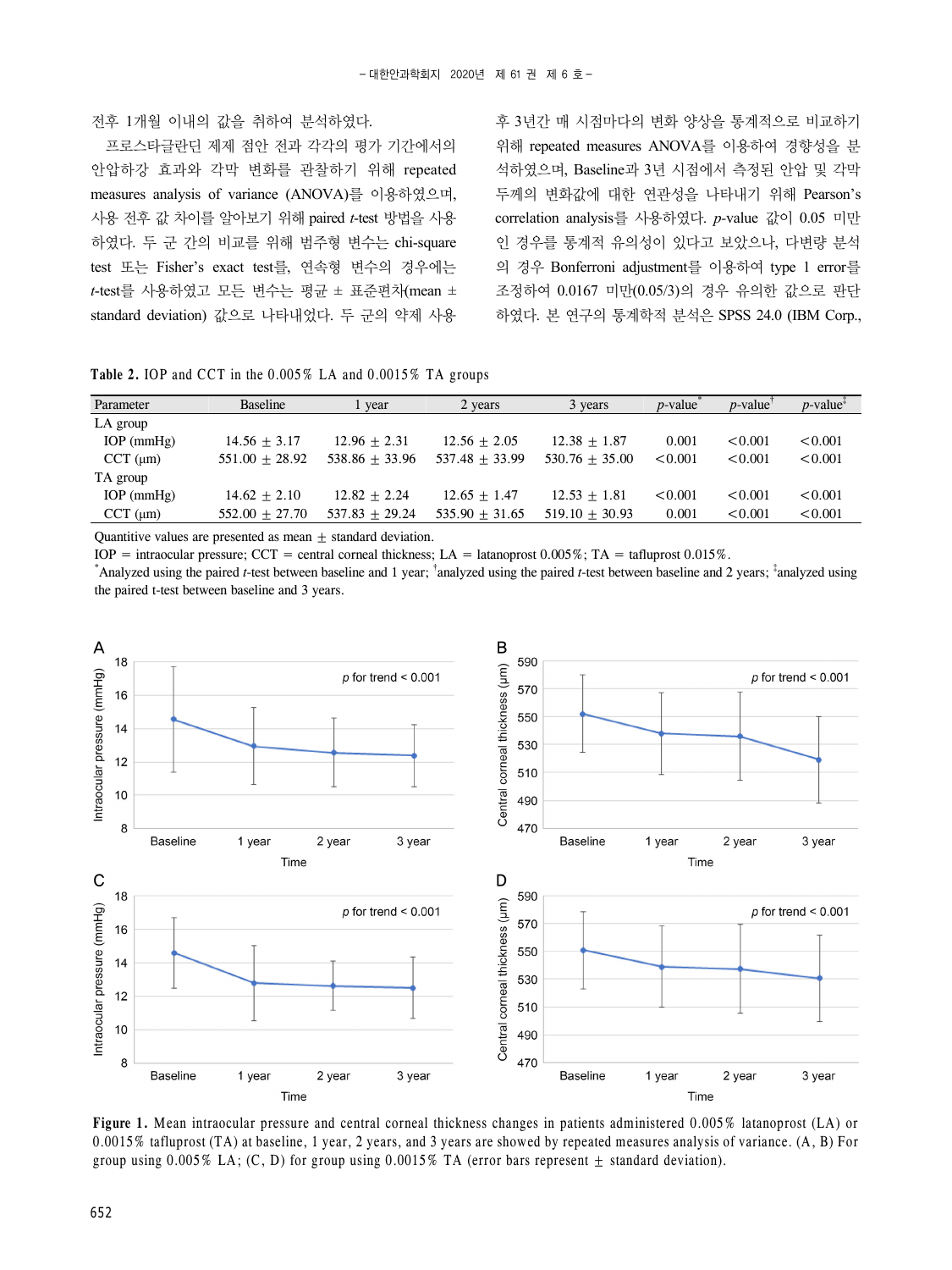#### 전후 1개월 이내의 값을 취하여 분석하였다.

프로스타글란딘 제제 점안 전과 각각의 평가 기간에서의 안압하강 효과와 각막 변화를 관찰하기 위해 repeated measures analysis of variance (ANOVA)를 이용하였으며, 사용 전후 값 차이를 알아보기 위해 paired *t*-test 방법을 사용 하였다. 두 군 간의 비교를 위해 범주형 변수는 chi-square test 또는 Fisher's exact test를, 연속형 변수의 경우에는 *t*-test를 사용하였고 모든 변수는 평균 ± 표준편차(mean ± standard deviation) 값으로 나타내었다. 두 군의 약제 사용

후 3년간 매 시점마다의 변화 양상을 통계적으로 비교하기 위해 repeated measures ANOVA를 이용하여 경향성을 분 석하였으며, Baseline과 3년 시점에서 측정된 안압 및 각막 두께의 변화값에 대한 연관성을 나타내기 위해 Pearson's correlation analysis를 사용하였다. *p-*value 값이 0.05 미만 인 경우를 통계적 유의성이 있다고 보았으나, 다변량 분석 의 경우 Bonferroni adjustment를 이용하여 type 1 error를 조정하여 0.0167 미만(0.05/3)의 경우 유의한 값으로 판단 하였다. 본 연구의 통계학적 분석은 SPSS 24.0 (IBM Corp.,

|  |  |  |  |  | <b>Table 2.</b> IOP and CCT in the $0.005\%$ LA and $0.0015\%$ TA groups |  |  |  |  |  |  |  |  |  |  |  |  |  |  |  |
|--|--|--|--|--|--------------------------------------------------------------------------|--|--|--|--|--|--|--|--|--|--|--|--|--|--|--|
|--|--|--|--|--|--------------------------------------------------------------------------|--|--|--|--|--|--|--|--|--|--|--|--|--|--|--|

| Parameter        | <b>Baseline</b>  | l year           | 2 years          | 3 years          | $p$ -value | $p$ -value | $p$ -value <sup><math>\ddagger</math></sup> |
|------------------|------------------|------------------|------------------|------------------|------------|------------|---------------------------------------------|
|                  |                  |                  |                  |                  |            |            |                                             |
| LA group         |                  |                  |                  |                  |            |            |                                             |
| $IOP$ (mmHg)     | $14.56 + 3.17$   | $12.96 + 2.31$   | $12.56 + 2.05$   | $12.38 \pm 1.87$ | 0.001      | < 0.001    | < 0.001                                     |
| $CCT$ ( $\mu$ m) | $551.00 + 28.92$ | $538.86 + 33.96$ | $537.48 + 33.99$ | $530.76 + 35.00$ | < 0.001    | < 0.001    | < 0.001                                     |
| TA group         |                  |                  |                  |                  |            |            |                                             |
| $IOP$ (mmHg)     | $14.62 + 2.10$   | $12.82 + 2.24$   | $12.65 + 1.47$   | $12.53 + 1.81$   | < 0.001    | < 0.001    | < 0.001                                     |
| $CCT$ ( $\mu$ m) | $552.00 + 27.70$ | $537.83 + 29.24$ | $535.90 + 31.65$ | $519.10 + 30.93$ | 0.001      | < 0.001    | < 0.001                                     |

Quantitive values are presented as mean  $\pm$  standard deviation.

IOP = intraocular pressure; CCT = central corneal thickness; LA = latanoprost  $0.005\%$ ; TA = tafluprost  $0.015\%$ .

\*Analyzed using the paired *t*-test between baseline and 1 year; <sup>†</sup>analyzed using the paired *t*-test between baseline and 2 years; <sup>‡</sup>analyzed using the paired t-test between baseline and 3 years.



**Figure 1.** Mean intraocular pressure and central corneal thickness changes in patients administered 0.005% latanoprost (LA) or 0.0015% tafluprost (TA) at baseline, 1 year, 2 years, and 3 years are showed by repeated measures analysis of variance. (A, B) For group using 0.005% LA; (C, D) for group using 0.0015% TA (error bars represent  $\pm$  standard deviation).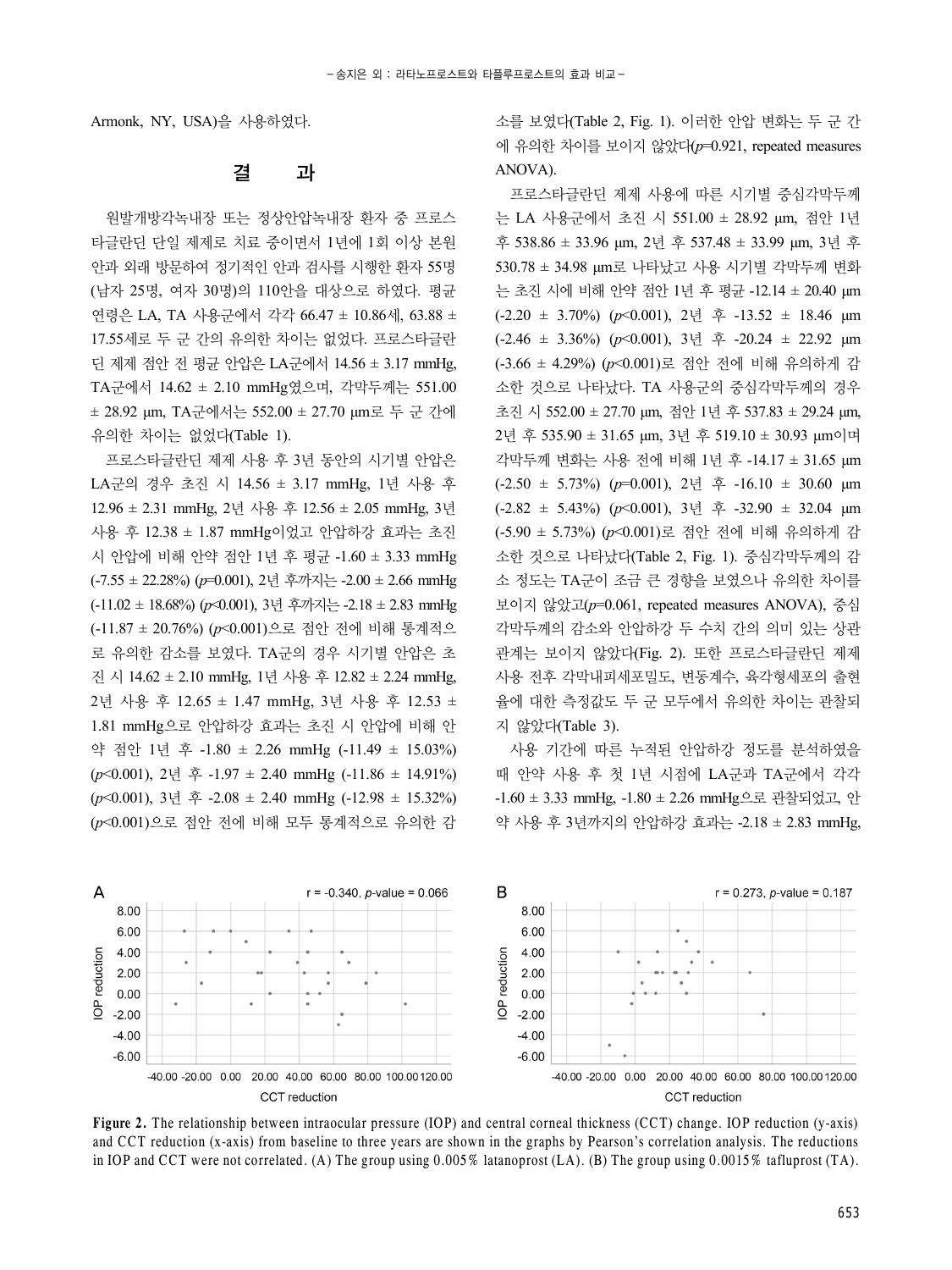Armonk, NY, USA)을 사용하였다.

## 결 과

원발개방각녹내장 또는 정상안압녹내장 환자 중 프로스 타글란딘 단일 제제로 치료 중이면서 1년에 1회 이상 본원 안과 외래 방문하여 정기적인 안과 검사를 시행한 환자 55명 (남자 25명, 여자 30명)의 110안을 대상으로 하였다. 평균 연령은 LA, TA 사용군에서 각각 66.47 ± 10.86세, 63.88 ± 17.55세로 두 군 간의 유의한 차이는 없었다. 프로스타글란 딘 제제 점안 전 평균 안압은 LA군에서 14.56 ± 3.17 mmHg, TA군에서 14.62 ± 2.10 mmHg였으며, 각막두께는 551.00 ± 28.92 μm, TA군에서는 552.00 ± 27.70 μm로 두 군 간에 유의한 차이는 없었다(Table 1).

프로스타글란딘 제제 사용 후 3년 동안의 시기별 안압은 LA군의 경우 초진 시 14.56 ± 3.17 mmHg, 1년 사용 후 12.96 ± 2.31 mmHg, 2년 사용 후 12.56 ± 2.05 mmHg, 3년 사용 후 12.38 ± 1.87 mmHg이었고 안압하강 효과는 초진 시 안압에 비해 안약 점안 1년 후 평균 -1.60 ± 3.33 mmHg (-7.55 ± 22.28%) (*p*=0.001), 2년 후까지는 -2.00 ± 2.66 mmHg (-11.02 ± 18.68%) (*p*<0.001), 3년 후까지는 -2.18 ± 2.83 mmHg (-11.87 ± 20.76%) (*p*<0.001)으로 점안 전에 비해 통계적으 로 유의한 감소를 보였다. TA군의 경우 시기별 안압은 초 진 시 14.62 ± 2.10 mmHg, 1년 사용 후 12.82 ± 2.24 mmHg, 2년 사용 후 12.65 ± 1.47 mmHg, 3년 사용 후 12.53 ± 1.81 mmHg으로 안압하강 효과는 초진 시 안압에 비해 안 약 점안 1년 후 -1.80 ± 2.26 mmHg (-11.49 ± 15.03%) (*p*<0.001), 2년 후 -1.97 ± 2.40 mmHg (-11.86 ± 14.91%) (*p*<0.001), 3년 후 -2.08 ± 2.40 mmHg (-12.98 ± 15.32%) (*p*<0.001)으로 점안 전에 비해 모두 통계적으로 유의한 감

소를 보였다(Table 2, Fig. 1). 이러한 안압 변화는 두 군 간 에 유의한 차이를 보이지 않았다(*p*=0.921, repeated measures ANOVA).

프로스타글란딘 제제 사용에 따른 시기별 중심각막두께 는 LA 사용군에서 초진 시 551.00 ± 28.92 μm, 점안 1년 후 538.86 ± 33.96 μm, 2년 후 537.48 ± 33.99 μm, 3년 후 530.78 ± 34.98 μm로 나타났고 사용 시기별 각막두께 변화 는 초진 시에 비해 안약 점안 1년 후 평균 -12.14 ± 20.40 μm (-2.20 ± 3.70%) (*p*<0.001), 2년 후 -13.52 ± 18.46 μm (-2.46 ± 3.36%) (*p*<0.001), 3년 후 -20.24 ± 22.92 μm (-3.66 ± 4.29%) (*p*<0.001)로 점안 전에 비해 유의하게 감 소한 것으로 나타났다. TA 사용군의 중심각막두께의 경우 초진 시 552.00 ± 27.70 μm, 점안 1년 후 537.83 ± 29.24 μm, 2년 후 535.90 ± 31.65 μm, 3년 후 519.10 ± 30.93 μm이며 각막두께 변화는 사용 전에 비해 1년 후 -14.17 ± 31.65 μm (-2.50 ± 5.73%) (*p*=0.001), 2년 후 -16.10 ± 30.60 μm (-2.82 ± 5.43%) (*p*<0.001), 3년 후 -32.90 ± 32.04 μm (-5.90 ± 5.73%) (*p*<0.001)로 점안 전에 비해 유의하게 감 소한 것으로 나타났다(Table 2, Fig. 1). 중심각막두께의 감 소 정도는 TA군이 조금 큰 경향을 보였으나 유의한 차이를 보이지 않았고(*p*=0.061, repeated measures ANOVA), 중심 각막두께의 감소와 안압하강 두 수치 간의 의미 있는 상관 관계는 보이지 않았다(Fig. 2). 또한 프로스타글란딘 제제 사용 전후 각막내피세포밀도, 변동계수, 육각형세포의 출현 율에 대한 측정값도 두 군 모두에서 유의한 차이는 관찰되 지 않았다(Table 3).

사용 기간에 따른 누적된 안압하강 정도를 분석하였을 때 안약 사용 후 첫 1년 시점에 LA군과 TA군에서 각각 -1.60 ± 3.33 mmHg, -1.80 ± 2.26 mmHg으로 관찰되었고, 안 약 사용 후 3년까지의 안압하강 효과는 -2.18 ± 2.83 mmHg,



Figure 2. The relationship between intraocular pressure (IOP) and central corneal thickness (CCT) change. IOP reduction (y-axis) and CCT reduction (x-axis) from baseline to three years are shown in the graphs by Pearson's correlation analysis. The reductions in IOP and CCT were not correlated. (A) The group using 0.005% latanoprost (LA). (B) The group using 0.0015% tafluprost (TA).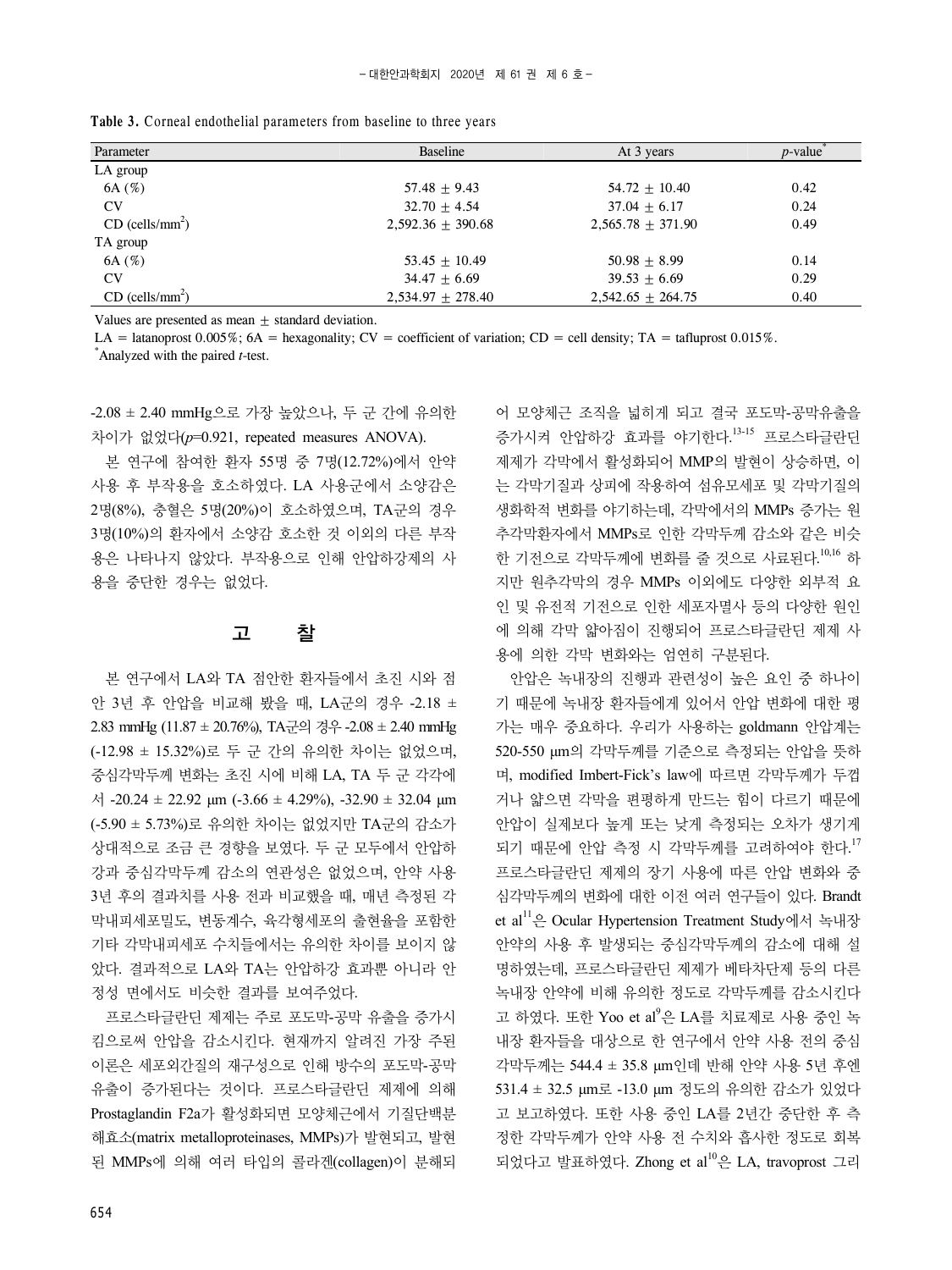| Parameter                     | Baseline            | At 3 years          | $p$ -value |
|-------------------------------|---------------------|---------------------|------------|
| LA group                      |                     |                     |            |
| 6A(%)                         | $57.48 + 9.43$      | $54.72 + 10.40$     | 0.42       |
| CV                            | $32.70 + 4.54$      | $37.04 + 6.17$      | 0.24       |
| $CD$ (cells/mm <sup>2</sup> ) | $2,592.36 + 390.68$ | $2,565.78 + 371.90$ | 0.49       |
| TA group                      |                     |                     |            |

**Table 3.** Corneal endothelial parameters from baseline to three years

Values are presented as mean  $\pm$  standard deviation.

LA = latanoprost 0.005%; 6A = hexagonality; CV = coefficient of variation; CD = cell density; TA = tafluprost 0.015%.

 $6A (\%)$   $53.45 \pm 10.49$   $50.98 \pm 8.99$   $0.14$ CV 39.53  $\pm$  6.69 39.53  $\pm$  6.69 0.29

\* Analyzed with the paired *t*-test.

CD (cells/ $mm<sup>2</sup>$ )

-2.08 ± 2.40 mmHg으로 가장 높았으나, 두 군 간에 유의한 차이가 없었다(*p*=0.921, repeated measures ANOVA).

본 연구에 참여한 환자 55명 중 7명(12.72%)에서 안약 사용 후 부작용을 호소하였다. LA 사용군에서 소양감은 2명(8%), 충혈은 5명(20%)이 호소하였으며, TA군의 경우 3명(10%)의 환자에서 소양감 호소한 것 이외의 다른 부작 용은 나타나지 않았다. 부작용으로 인해 안압하강제의 사 용을 중단한 경우는 없었다.

### 고 찰

본 연구에서 LA와 TA 점안한 환자들에서 초진 시와 점 안 3년 후 안압을 비교해 봤을 때, LA군의 경우 -2.18 ± 2.83 mmHg (11.87 ± 20.76%), TA군의 경우 -2.08 ± 2.40 mmHg (-12.98 ± 15.32%)로 두 군 간의 유의한 차이는 없었으며, 중심각막두께 변화는 초진 시에 비해 LA, TA 두 군 각각에  $\text{M}$  -20.24  $\pm$  22.92 μm (-3.66  $\pm$  4.29%), -32.90  $\pm$  32.04 μm (-5.90 ± 5.73%)로 유의한 차이는 없었지만 TA군의 감소가 상대적으로 조금 큰 경향을 보였다. 두 군 모두에서 안압하 강과 중심각막두께 감소의 연관성은 없었으며, 안약 사용 3년 후의 결과치를 사용 전과 비교했을 때, 매년 측정된 각 막내피세포밀도, 변동계수, 육각형세포의 출현율을 포함한 기타 각막내피세포 수치들에서는 유의한 차이를 보이지 않 았다. 결과적으로 LA와 TA는 안압하강 효과뿐 아니라 안 정성 면에서도 비슷한 결과를 보여주었다.

프로스타글란딘 제제는 주로 포도막-공막 유출을 증가시 킴으로써 안압을 감소시킨다. 현재까지 알려진 가장 주된 이론은 세포외간질의 재구성으로 인해 방수의 포도막-공막 유출이 증가된다는 것이다. 프로스타글란딘 제제에 의해 Prostaglandin F2a가 활성화되면 모양체근에서 기질단백분 해효소(matrix metalloproteinases, MMPs)가 발현되고, 발현 된 MMPs에 의해 여러 타입의 콜라겐(collagen)이 분해되 어 모양체근 조직을 넓히게 되고 결국 포도막-공막유출을 증가시켜 안압하강 효과를 야기한다. 13-15 프로스타글란딘 제제가 각막에서 활성화되어 MMP의 발현이 상승하면, 이 는 각막기질과 상피에 작용하여 섬유모세포 및 각막기질의 생화학적 변화를 야기하는데, 각막에서의 MMPs 증가는 원 추각막환자에서 MMPs로 인한 각막두께 감소와 같은 비슷 한 기전으로 각막두께에 변화를 줄 것으로 사료된다.<sup>10,16</sup> 하 지만 원추각막의 경우 MMPs 이외에도 다양한 외부적 요 인 및 유전적 기전으로 인한 세포자멸사 등의 다양한 원인 에 의해 각막 얇아짐이 진행되어 프로스타글란딘 제제 사 용에 의한 각막 변화와는 엄연히 구분된다.

 $2,534.97 \pm 278.40$   $2,542.65 \pm 264.75$  0.40

안압은 녹내장의 진행과 관련성이 높은 요인 중 하나이 기 때문에 녹내장 환자들에게 있어서 안압 변화에 대한 평 가는 매우 중요하다. 우리가 사용하는 goldmann 안압계는 520-550 μm의 각막두께를 기준으로 측정되는 안압을 뜻하 며, modified Imbert-Fick's law에 따르면 각막두께가 두껍 거나 얇으면 각막을 편평하게 만드는 힘이 다르기 때문에 안압이 실제보다 높게 또는 낮게 측정되는 오차가 생기게 되기 때문에 안압 측정 시 각막두께를 고려하여야 한다.<sup>17</sup> 프로스타글란딘 제제의 장기 사용에 따른 안압 변화와 중 심각막두께의 변화에 대한 이전 여러 연구들이 있다. Brandt et al<sup>11</sup>은 Ocular Hypertension Treatment Study에서 녹내장 안약의 사용 후 발생되는 중심각막두께의 감소에 대해 설 명하였는데, 프로스타글란딘 제제가 베타차단제 등의 다른 녹내장 안약에 비해 유의한 정도로 각막두께를 감소시킨다 고 하였다. 또한 Yoo et al<sup>9</sup>은 LA를 치료제로 사용 중인 녹 내장 환자들을 대상으로 한 연구에서 안약 사용 전의 중심 각막두께는 544.4 ± 35.8 μm인데 반해 안약 사용 5년 후엔 531.4 ± 32.5 μm로 -13.0 μm 정도의 유의한 감소가 있었다 고 보고하였다. 또한 사용 중인 LA를 2년간 중단한 후 측 정한 각막두께가 안약 사용 전 수치와 흡사한 정도로 회복 되었다고 발표하였다. Zhong et al<sup>10</sup>은 LA, travoprost 그리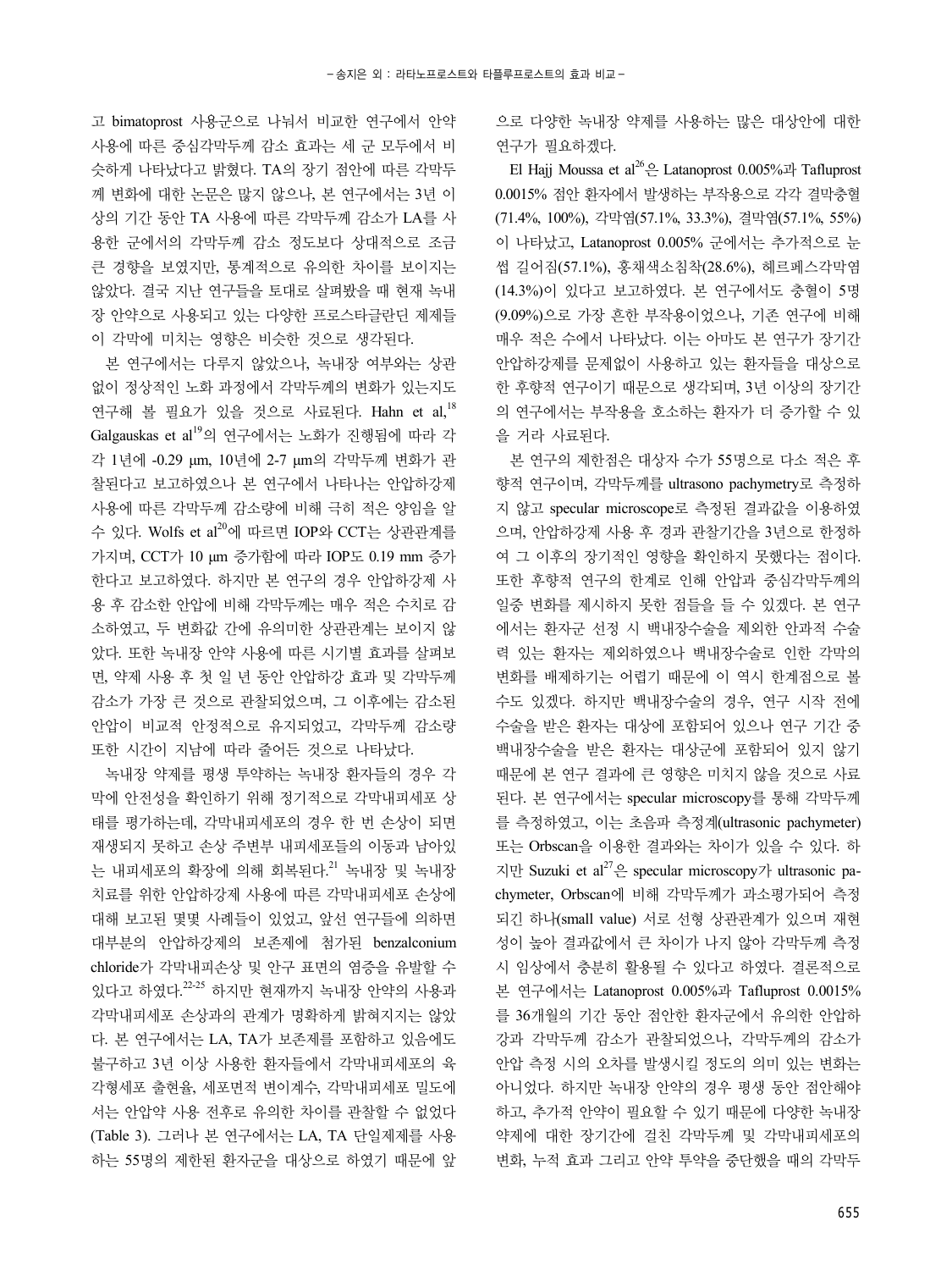고 bimatoprost 사용군으로 나눠서 비교한 연구에서 안약 사용에 따른 중심각막두께 감소 효과는 세 군 모두에서 비 슷하게 나타났다고 밝혔다. TA의 장기 점안에 따른 각막두 께 변화에 대한 논문은 많지 않으나, 본 연구에서는 3년 이 상의 기간 동안 TA 사용에 따른 각막두께 감소가 LA를 사 용한 군에서의 각막두께 감소 정도보다 상대적으로 조금 큰 경향을 보였지만, 통계적으로 유의한 차이를 보이지는 않았다. 결국 지난 연구들을 토대로 살펴봤을 때 현재 녹내 장 안약으로 사용되고 있는 다양한 프로스타글란딘 제제들 이 각막에 미치는 영향은 비슷한 것으로 생각된다.

본 연구에서는 다루지 않았으나, 녹내장 여부와는 상관 없이 정상적인 노화 과정에서 각막두께의 변화가 있는지도 연구해 볼 필요가 있을 것으로 사료된다. Hahn et al. $^{18}$ Galgauskas et al<sup>19</sup>의 연구에서는 노화가 진행됨에 따라 각 각 1년에 -0.29 μm, 10년에 2-7 μm의 각막두께 변화가 관 찰된다고 보고하였으나 본 연구에서 나타나는 안압하강제 사용에 따른 각막두께 감소량에 비해 극히 적은 양임을 알 수 있다. Wolfs et al<sup>20</sup>에 따르면 IOP와 CCT는 상관관계를 가지며, CCT가 10 μm 증가함에 따라 IOP도 0.19 mm 증가 한다고 보고하였다. 하지만 본 연구의 경우 안압하강제 사 용 후 감소한 안압에 비해 각막두께는 매우 적은 수치로 감 소하였고, 두 변화값 간에 유의미한 상관관계는 보이지 않 았다. 또한 녹내장 안약 사용에 따른 시기별 효과를 살펴보 면, 약제 사용 후 첫 일 년 동안 안압하강 효과 및 각막두께 감소가 가장 큰 것으로 관찰되었으며, 그 이후에는 감소된 안압이 비교적 안정적으로 유지되었고, 각막두께 감소량 또한 시간이 지남에 따라 줄어든 것으로 나타났다.

녹내장 약제를 평생 투약하는 녹내장 환자들의 경우 각 막에 안전성을 확인하기 위해 정기적으로 각막내피세포 상 태를 평가하는데, 각막내피세포의 경우 한 번 손상이 되면 재생되지 못하고 손상 주변부 내피세포들의 이동과 남아있 는 내피세포의 확장에 의해 회복된다.<sup>21</sup> 녹내장 및 녹내장 치료를 위한 안압하강제 사용에 따른 각막내피세포 손상에 대해 보고된 몇몇 사례들이 있었고, 앞선 연구들에 의하면 대부분의 안압하강제의 보존제에 첨가된 benzalconium chloride가 각막내피손상 및 안구 표면의 염증을 유발할 수 있다고 하였다. 22-25 하지만 현재까지 녹내장 안약의 사용과 각막내피세포 손상과의 관계가 명확하게 밝혀지지는 않았 다. 본 연구에서는 LA, TA가 보존제를 포함하고 있음에도 불구하고 3년 이상 사용한 환자들에서 각막내피세포의 육 각형세포 출현율, 세포면적 변이계수, 각막내피세포 밀도에 서는 안압약 사용 전후로 유의한 차이를 관찰할 수 없었다 (Table 3). 그러나 본 연구에서는 LA, TA 단일제제를 사용 하는 55명의 제한된 환자군을 대상으로 하였기 때문에 앞

으로 다양한 녹내장 약제를 사용하는 많은 대상안에 대한 연구가 필요하겠다.

El Hajj Moussa et al<sup>26</sup> $\frac{6}{5}$  Latanoprost 0.005%과 Tafluprost 0.0015% 점안 환자에서 발생하는 부작용으로 각각 결막충혈 (71.4%, 100%), 각막염(57.1%, 33.3%), 결막염(57.1%, 55%) 이 나타났고, Latanoprost 0.005% 군에서는 추가적으로 눈 썹 길어짐(57.1%), 홍채색소침착(28.6%), 헤르페스각막염 (14.3%)이 있다고 보고하였다. 본 연구에서도 충혈이 5명 (9.09%)으로 가장 흔한 부작용이었으나, 기존 연구에 비해 매우 적은 수에서 나타났다. 이는 아마도 본 연구가 장기간 안압하강제를 문제없이 사용하고 있는 환자들을 대상으로 한 후향적 연구이기 때문으로 생각되며, 3년 이상의 장기간 의 연구에서는 부작용을 호소하는 환자가 더 증가할 수 있 을 거라 사료된다.

본 연구의 제한점은 대상자 수가 55명으로 다소 적은 후 향적 연구이며, 각막두께를 ultrasono pachymetry로 측정하 지 않고 specular microscope로 측정된 결과값을 이용하였 으며, 안압하강제 사용 후 경과 관찰기간을 3년으로 한정하 여 그 이후의 장기적인 영향을 확인하지 못했다는 점이다. 또한 후향적 연구의 한계로 인해 안압과 중심각막두께의 일중 변화를 제시하지 못한 점들을 들 수 있겠다. 본 연구 에서는 환자군 선정 시 백내장수술을 제외한 안과적 수술 력 있는 환자는 제외하였으나 백내장수술로 인한 각막의 변화를 배제하기는 어렵기 때문에 이 역시 한계점으로 볼 수도 있겠다. 하지만 백내장수술의 경우, 연구 시작 전에 수술을 받은 환자는 대상에 포함되어 있으나 연구 기간 중 백내장수술을 받은 환자는 대상군에 포함되어 있지 않기 때문에 본 연구 결과에 큰 영향은 미치지 않을 것으로 사료 된다. 본 연구에서는 specular microscopy를 통해 각막두께 를 측정하였고, 이는 초음파 측정계(ultrasonic pachymeter) 또는 Orbscan을 이용한 결과와는 차이가 있을 수 있다. 하 지만 Suzuki et al27은 specular microscopy가 ultrasonic pachymeter, Orbscan에 비해 각막두께가 과소평가되어 측정 되긴 하나(small value) 서로 선형 상관관계가 있으며 재현 성이 높아 결과값에서 큰 차이가 나지 않아 각막두께 측정 시 임상에서 충분히 활용될 수 있다고 하였다. 결론적으로 본 연구에서는 Latanoprost 0.005%과 Tafluprost 0.0015% 를 36개월의 기간 동안 점안한 환자군에서 유의한 안압하 강과 각막두께 감소가 관찰되었으나, 각막두께의 감소가 안압 측정 시의 오차를 발생시킬 정도의 의미 있는 변화는 아니었다. 하지만 녹내장 안약의 경우 평생 동안 점안해야 하고, 추가적 안약이 필요할 수 있기 때문에 다양한 녹내장 약제에 대한 장기간에 걸친 각막두께 및 각막내피세포의 변화, 누적 효과 그리고 안약 투약을 중단했을 때의 각막두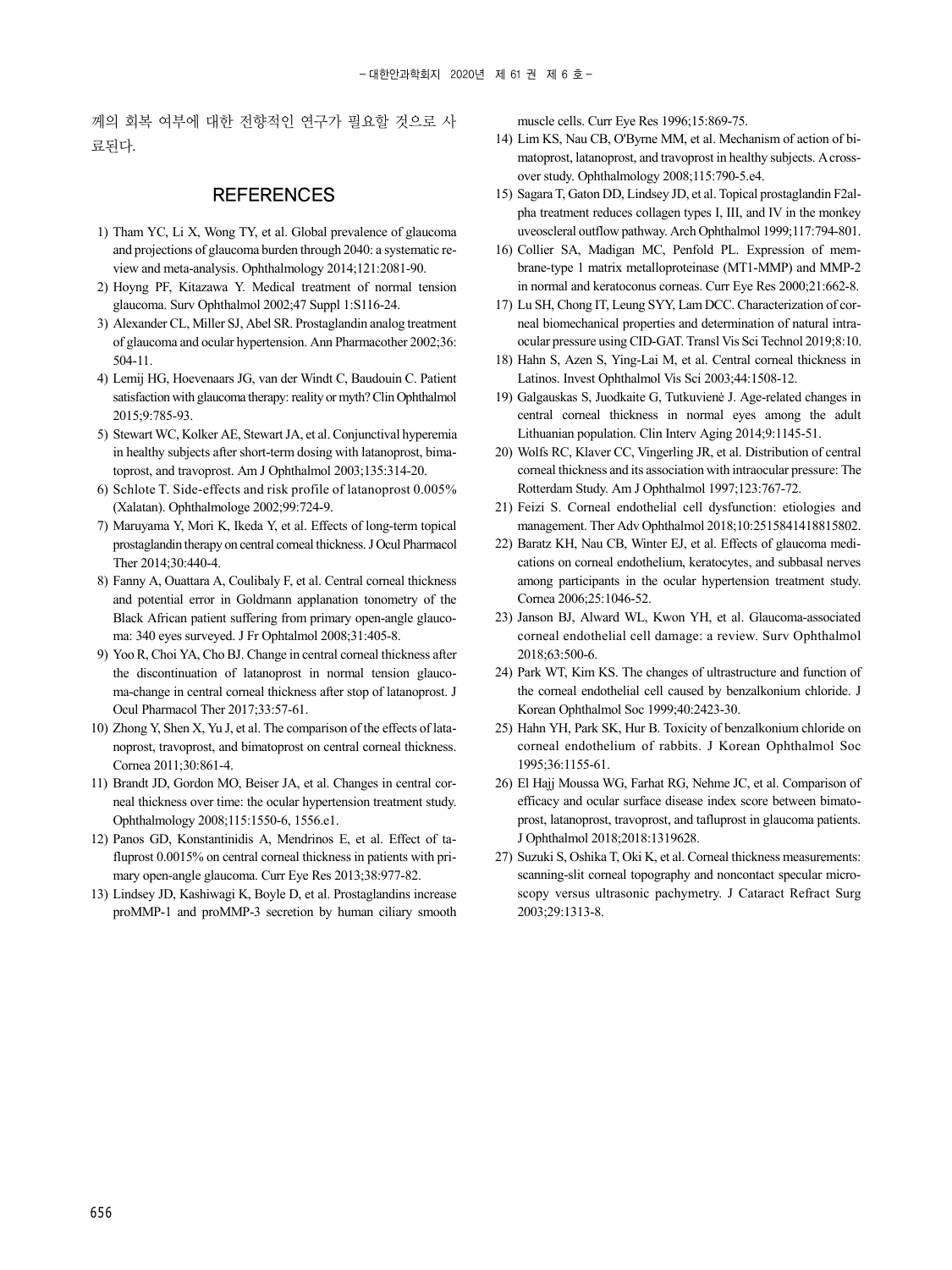께의 회복 여부에 대한 전향적인 연구가 필요할 것으로 사 료된다.

#### **REFERENCES**

- 1) Tham YC, Li X, Wong TY, et al. Global prevalence of glaucoma and projections of glaucoma burden through 2040: a systematic review and meta-analysis. Ophthalmology 2014;121:2081-90.
- 2) Hoyng PF, Kitazawa Y. Medical treatment of normal tension glaucoma. Surv Ophthalmol 2002;47 Suppl 1:S116-24.
- 3) Alexander CL, Miller SJ, Abel SR. Prostaglandin analog treatment of glaucoma and ocular hypertension. Ann Pharmacother 2002;36: 504-11.
- 4) Lemij HG, Hoevenaars JG, van der Windt C, Baudouin C. Patient satisfaction with glaucoma therapy: reality or myth? Clin Ophthalmol 2015;9:785-93.
- 5) Stewart WC, Kolker AE, Stewart JA, et al. Conjunctival hyperemia in healthy subjects after short-term dosing with latanoprost, bimatoprost, and travoprost. Am J Ophthalmol 2003;135:314-20.
- 6) Schlote T. Side-effects and risk profile of latanoprost 0.005% (Xalatan). Ophthalmologe 2002;99:724-9.
- 7) Maruyama Y, Mori K, Ikeda Y, et al. Effects of long-term topical prostaglandin therapy on central corneal thickness. J Ocul Pharmacol Ther 2014;30:440-4.
- 8) Fanny A, Ouattara A, Coulibaly F, et al. Central corneal thickness and potential error in Goldmann applanation tonometry of the Black African patient suffering from primary open-angle glaucoma: 340 eyes surveyed. J Fr Ophtalmol 2008;31:405-8.
- 9) Yoo R, Choi YA, Cho BJ. Change in central corneal thickness after the discontinuation of latanoprost in normal tension glaucoma-change in central corneal thickness after stop of latanoprost. J Ocul Pharmacol Ther 2017;33:57-61.
- 10) Zhong Y, Shen X, Yu J, et al. The comparison of the effects of latanoprost, travoprost, and bimatoprost on central corneal thickness. Cornea 2011;30:861-4.
- 11) Brandt JD, Gordon MO, Beiser JA, et al. Changes in central corneal thickness over time: the ocular hypertension treatment study. Ophthalmology 2008;115:1550-6, 1556.e1.
- 12) Panos GD, Konstantinidis A, Mendrinos E, et al. Effect of tafluprost 0.0015% on central corneal thickness in patients with primary open-angle glaucoma. Curr Eye Res 2013;38:977-82.
- 13) Lindsey JD, Kashiwagi K, Boyle D, et al. Prostaglandins increase proMMP-1 and proMMP-3 secretion by human ciliary smooth

muscle cells. Curr Eye Res 1996;15:869-75.

- 14) Lim KS, Nau CB, O'Byrne MM, et al. Mechanism of action of bimatoprost, latanoprost, and travoprost in healthy subjects. A crossover study. Ophthalmology 2008;115:790-5.e4.
- 15) Sagara T, Gaton DD, Lindsey JD, et al. Topical prostaglandin F2alpha treatment reduces collagen types I, III, and IV in the monkey uveoscleral outflow pathway. Arch Ophthalmol 1999;117:794-801.
- 16) Collier SA, Madigan MC, Penfold PL. Expression of membrane-type 1 matrix metalloproteinase (MT1-MMP) and MMP-2 in normal and keratoconus corneas. Curr Eye Res 2000;21:662-8.
- 17) Lu SH, Chong IT, Leung SYY, Lam DCC. Characterization of corneal biomechanical properties and determination of natural intraocular pressure using CID-GAT. Transl Vis Sci Technol 2019;8:10.
- 18) Hahn S, Azen S, Ying-Lai M, et al. Central corneal thickness in Latinos. Invest Ophthalmol Vis Sci 2003;44:1508-12.
- 19) Galgauskas S, Juodkaite G, Tutkuvienė J. Age-related changes in central corneal thickness in normal eyes among the adult Lithuanian population. Clin Interv Aging 2014;9:1145-51.
- 20) Wolfs RC, Klaver CC, Vingerling JR, et al. Distribution of central corneal thickness and its association with intraocular pressure: The Rotterdam Study. Am J Ophthalmol 1997;123:767-72.
- 21) Feizi S. Corneal endothelial cell dysfunction: etiologies and management. Ther Adv Ophthalmol 2018;10:2515841418815802.
- 22) Baratz KH, Nau CB, Winter EJ, et al. Effects of glaucoma medications on corneal endothelium, keratocytes, and subbasal nerves among participants in the ocular hypertension treatment study. Cornea 2006;25:1046-52.
- 23) Janson BJ, Alward WL, Kwon YH, et al. Glaucoma-associated corneal endothelial cell damage: a review. Surv Ophthalmol 2018;63:500-6.
- 24) Park WT, Kim KS. The changes of ultrastructure and function of the corneal endothelial cell caused by benzalkonium chloride. J Korean Ophthalmol Soc 1999;40:2423-30.
- 25) Hahn YH, Park SK, Hur B. Toxicity of benzalkonium chloride on corneal endothelium of rabbits. J Korean Ophthalmol Soc 1995;36:1155-61.
- 26) El Hajj Moussa WG, Farhat RG, Nehme JC, et al. Comparison of efficacy and ocular surface disease index score between bimatoprost, latanoprost, travoprost, and tafluprost in glaucoma patients. J Ophthalmol 2018;2018:1319628.
- 27) Suzuki S, Oshika T, Oki K, et al. Corneal thickness measurements: scanning-slit corneal topography and noncontact specular microscopy versus ultrasonic pachymetry. J Cataract Refract Surg 2003;29:1313-8.